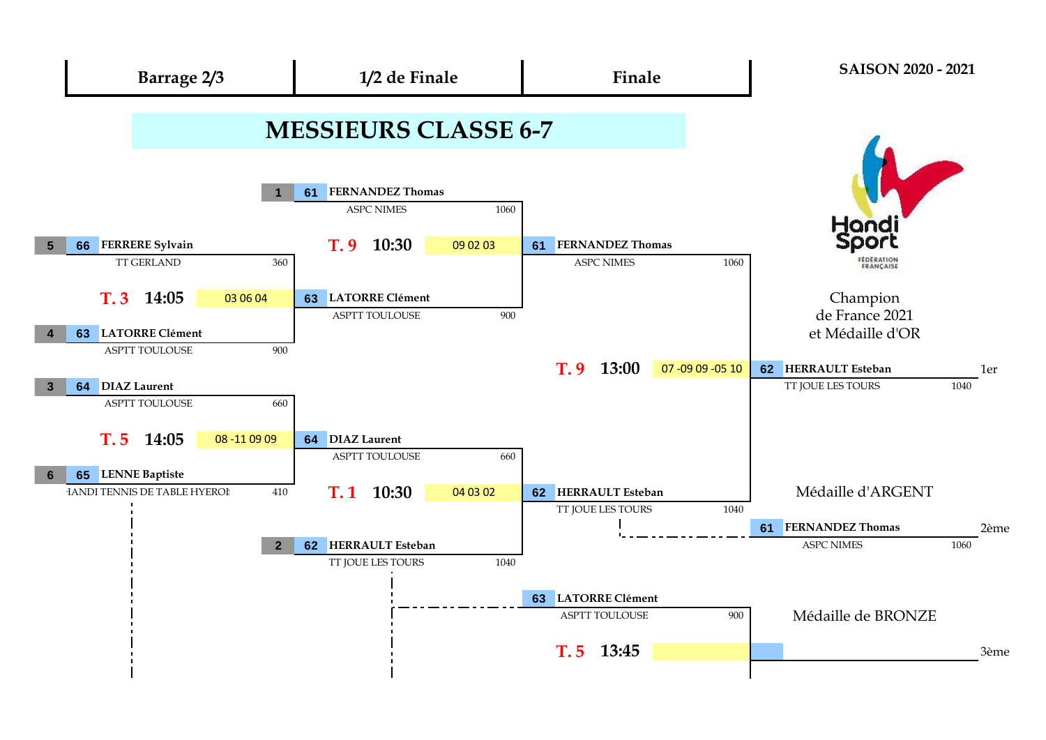